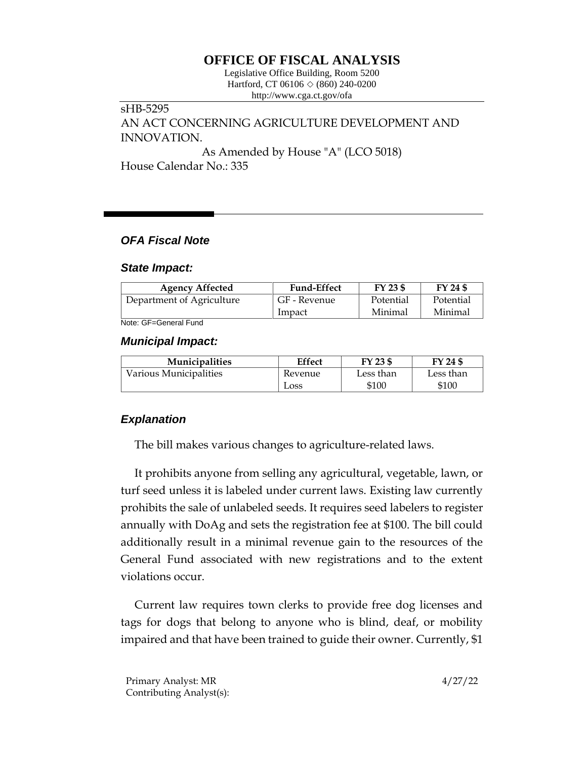# **OFFICE OF FISCAL ANALYSIS**

Legislative Office Building, Room 5200 Hartford, CT 06106  $\Diamond$  (860) 240-0200 http://www.cga.ct.gov/ofa

## sHB-5295 AN ACT CONCERNING AGRICULTURE DEVELOPMENT AND INNOVATION. As Amended by House "A" (LCO 5018)

House Calendar No.: 335

### *OFA Fiscal Note*

#### *State Impact:*

| <b>Agency Affected</b>    | <b>Fund-Effect</b> | FY 23 \$  | FY 24 \$  |
|---------------------------|--------------------|-----------|-----------|
| Department of Agriculture | GF - Revenue       | Potential | Potential |
|                           | Impact             | Minimal   | Minimal   |

Note: GF=General Fund

#### *Municipal Impact:*

| <b>Municipalities</b>  | <b>Effect</b> | FY 23 \$  | FY 24 \$  |
|------------------------|---------------|-----------|-----------|
| Various Municipalities | Revenue       | Less than | Less than |
|                        | Loss          | \$100     | \$100     |

## *Explanation*

The bill makes various changes to agriculture-related laws.

It prohibits anyone from selling any agricultural, vegetable, lawn, or turf seed unless it is labeled under current laws. Existing law currently prohibits the sale of unlabeled seeds. It requires seed labelers to register annually with DoAg and sets the registration fee at \$100. The bill could additionally result in a minimal revenue gain to the resources of the General Fund associated with new registrations and to the extent violations occur.

Current law requires town clerks to provide free dog licenses and tags for dogs that belong to anyone who is blind, deaf, or mobility impaired and that have been trained to guide their owner. Currently, \$1